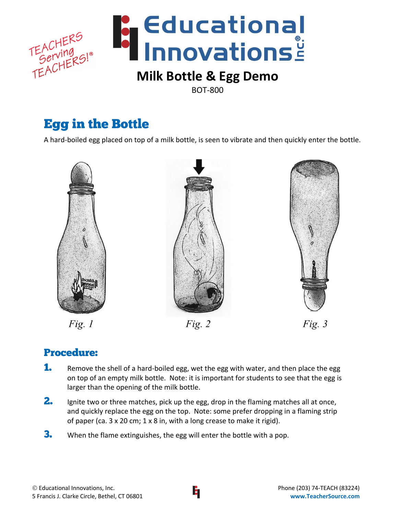

BOT-800

# Egg in the Bottle

A hard-boiled egg placed on top of a milk bottle, is seen to vibrate and then quickly enter the bottle.



 $Fig. 1$ 





# Procedure:

- **1.** Remove the shell of a hard-boiled egg, wet the egg with water, and then place the egg on top of an empty milk bottle. Note: it is important for students to see that the egg is larger than the opening of the milk bottle.
- 2. Ignite two or three matches, pick up the egg, drop in the flaming matches all at once, and quickly replace the egg on the top. Note: some prefer dropping in a flaming strip of paper (ca. 3 x 20 cm; 1 x 8 in, with a long crease to make it rigid).
- **3.** When the flame extinguishes, the egg will enter the bottle with a pop.

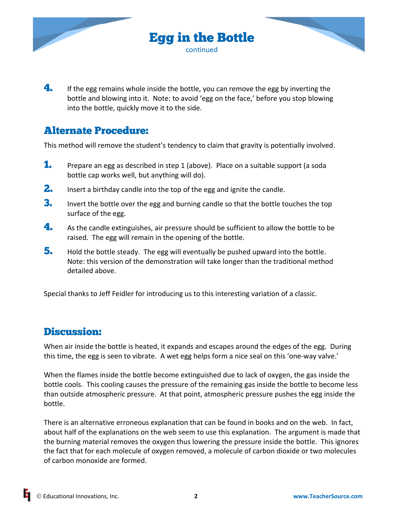

 $\mathbf{4.}$  If the egg remains whole inside the bottle, you can remove the egg by inverting the bottle and blowing into it. Note: to avoid 'egg on the face,' before you stop blowing into the bottle, quickly move it to the side.

## Alternate Procedure:

This method will remove the student's tendency to claim that gravity is potentially involved.

- 1. Prepare an egg as described in step 1 (above). Place on a suitable support (a soda bottle cap works well, but anything will do).
- **2.** Insert a birthday candle into the top of the egg and ignite the candle.
- **3.** Invert the bottle over the egg and burning candle so that the bottle touches the top surface of the egg.
- $\blacktriangle$  As the candle extinguishes, air pressure should be sufficient to allow the bottle to be raised. The egg will remain in the opening of the bottle.
- 5. Hold the bottle steady. The egg will eventually be pushed upward into the bottle. Note: this version of the demonstration will take longer than the traditional method detailed above.

Special thanks to Jeff Feidler for introducing us to this interesting variation of a classic.

## Discussion:

When air inside the bottle is heated, it expands and escapes around the edges of the egg. During this time, the egg is seen to vibrate. A wet egg helps form a nice seal on this 'one-way valve.'

When the flames inside the bottle become extinguished due to lack of oxygen, the gas inside the bottle cools. This cooling causes the pressure of the remaining gas inside the bottle to become less than outside atmospheric pressure. At that point, atmospheric pressure pushes the egg inside the bottle.

There is an alternative erroneous explanation that can be found in books and on the web. In fact, about half of the explanations on the web seem to use this explanation. The argument is made that the burning material removes the oxygen thus lowering the pressure inside the bottle. This ignores the fact that for each molecule of oxygen removed, a molecule of carbon dioxide or two molecules of carbon monoxide are formed.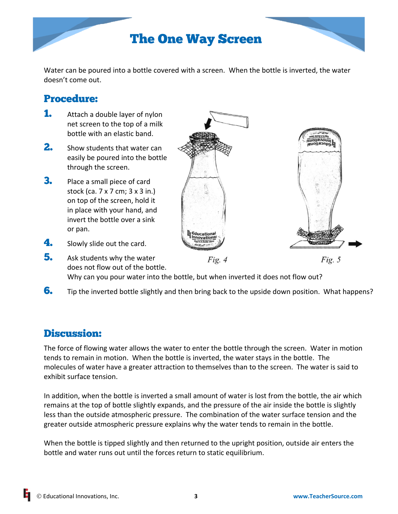

Water can be poured into a bottle covered with a screen. When the bottle is inverted, the water doesn't come out.

# Procedure:

- **1.** Attach a double layer of nylon net screen to the top of a milk bottle with an elastic band.
- 2. Show students that water can easily be poured into the bottle through the screen.
- **3.** Place a small piece of card stock (ca. 7 x 7 cm; 3 x 3 in.) on top of the screen, hold it in place with your hand, and invert the bottle over a sink or pan.
- 
- 4. Slowly slide out the card.
- **5.** Ask students why the water Fig.  $5$ Fig.  $4$ does not flow out of the bottle. Why can you pour water into the bottle, but when inverted it does not flow out?
- **6.** Tip the inverted bottle slightly and then bring back to the upside down position. What happens?

## Discussion:

The force of flowing water allows the water to enter the bottle through the screen. Water in motion tends to remain in motion. When the bottle is inverted, the water stays in the bottle. The molecules of water have a greater attraction to themselves than to the screen. The water is said to exhibit surface tension.

In addition, when the bottle is inverted a small amount of water is lost from the bottle, the air which remains at the top of bottle slightly expands, and the pressure of the air inside the bottle is slightly less than the outside atmospheric pressure. The combination of the water surface tension and the greater outside atmospheric pressure explains why the water tends to remain in the bottle.

When the bottle is tipped slightly and then returned to the upright position, outside air enters the bottle and water runs out until the forces return to static equilibrium.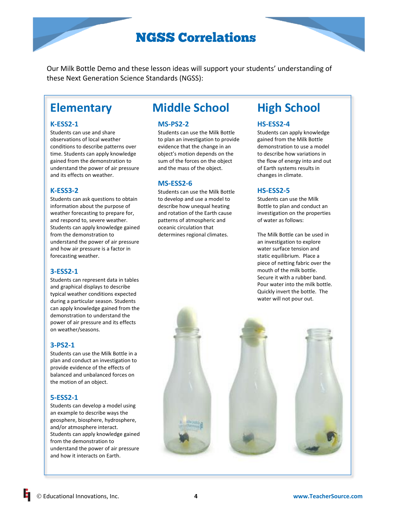# NGSS Correlations

Our Milk Bottle Demo and these lesson ideas will support your students' understanding of these Next Generation Science Standards (NGSS):

#### **K-ESS2-1**

Students can use and share observations of local weather conditions to describe patterns over time. Students can apply knowledge gained from the demonstration to understand the power of air pressure and its effects on weather.

#### **K-ESS3-2**

Students can ask questions to obtain information about the purpose of weather forecasting to prepare for, and respond to, severe weather. Students can apply knowledge gained from the demonstration to understand the power of air pressure and how air pressure is a factor in forecasting weather.

### **3-ESS2-1**

Students can represent data in tables and graphical displays to describe typical weather conditions expected during a particular season. Students can apply knowledge gained from the demonstration to understand the power of air pressure and its effects on weather/seasons.

#### **3-PS2-1**

Students can use the Milk Bottle in a plan and conduct an investigation to provide evidence of the effects of balanced and unbalanced forces on the motion of an object.

### **5-ESS2-1**

Students can develop a model using an example to describe ways the geosphere, biosphere, hydrosphere, and/or atmosphere interact. Students can apply knowledge gained from the demonstration to understand the power of air pressure and how it interacts on Earth.

# **Elementary Middle School High School**

#### **MS-PS2-2**

Students can use the Milk Bottle to plan an investigation to provide evidence that the change in an object's motion depends on the sum of the forces on the object and the mass of the object.

#### **MS-ESS2-6**

Students can use the Milk Bottle to develop and use a model to describe how unequal heating and rotation of the Earth cause patterns of atmospheric and oceanic circulation that determines regional climates.

#### **HS-ESS2-4**

Students can apply knowledge gained from the Milk Bottle demonstration to use a model to describe how variations in the flow of energy into and out of Earth systems results in changes in climate.

### **HS-ESS2-5**

Students can use the Milk Bottle to plan and conduct an investigation on the properties of water as follows:

The Milk Bottle can be used in an investigation to explore water surface tension and static equilibrium. Place a piece of netting fabric over the mouth of the milk bottle. Secure it with a rubber band. Pour water into the milk bottle. Quickly invert the bottle. The water will not pour out.

Educational Innovations, Inc. **4 [www.TeacherSource.com](http://www.teachersource.com/)**